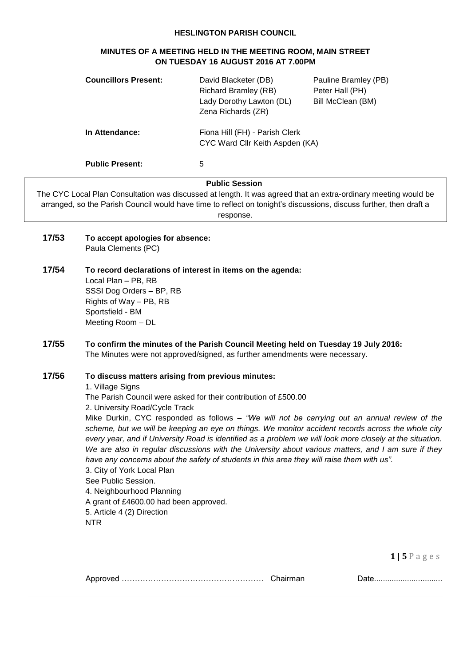#### **HESLINGTON PARISH COUNCIL**

#### **MINUTES OF A MEETING HELD IN THE MEETING ROOM, MAIN STREET ON TUESDAY 16 AUGUST 2016 AT 7.00PM**

| <b>Councillors Present:</b> | David Blacketer (DB)<br>Richard Bramley (RB)<br>Lady Dorothy Lawton (DL)<br>Zena Richards (ZR) | Pauline Bramley (PB)<br>Peter Hall (PH)<br>Bill McClean (BM) |
|-----------------------------|------------------------------------------------------------------------------------------------|--------------------------------------------------------------|
| In Attendance:              | Fiona Hill (FH) - Parish Clerk<br>CYC Ward Cllr Keith Aspden (KA)                              |                                                              |
| <b>Public Present:</b>      | 5                                                                                              |                                                              |

#### **Public Session**

The CYC Local Plan Consultation was discussed at length. It was agreed that an extra-ordinary meeting would be arranged, so the Parish Council would have time to reflect on tonight's discussions, discuss further, then draft a response.

- **17/53 To accept apologies for absence:** Paula Clements (PC)
- **17/54 To record declarations of interest in items on the agenda:** Local Plan – PB, RB SSSI Dog Orders – BP, RB Rights of Way – PB, RB Sportsfield - BM Meeting Room – DL
- **17/55 To confirm the minutes of the Parish Council Meeting held on Tuesday 19 July 2016:** The Minutes were not approved/signed, as further amendments were necessary.

## **17/56 To discuss matters arising from previous minutes:**

1. Village Signs

The Parish Council were asked for their contribution of £500.00

2. University Road/Cycle Track

Mike Durkin, CYC responded as follows – *"We will not be carrying out an annual review of the scheme, but we will be keeping an eye on things. We monitor accident records across the whole city every year, and if University Road is identified as a problem we will look more closely at the situation. We are also in regular discussions with the University about various matters, and I am sure if they have any concerns about the safety of students in this area they will raise them with us".* 3. City of York Local Plan See Public Session.

4. Neighbourhood Planning A grant of £4600.00 had been approved. 5. Article 4 (2) Direction NTR

**1 | 5** P a g e s

|  | Chairman |  |
|--|----------|--|
|--|----------|--|

Approved ……………………………………………… Chairman Date...............................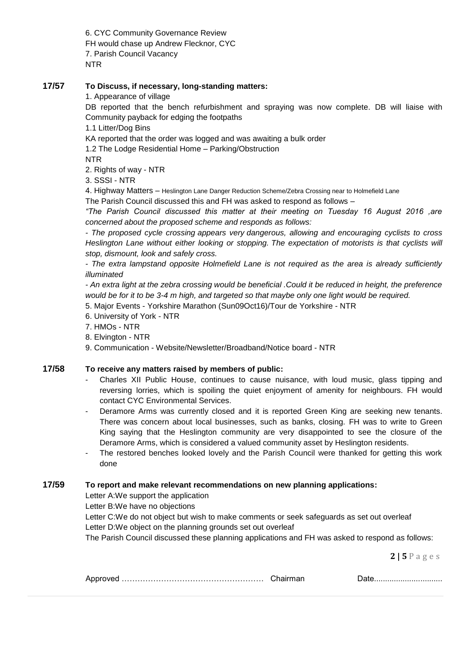6. CYC Community Governance Review FH would chase up Andrew Flecknor, CYC 7. Parish Council Vacancy NTR

## **17/57 To Discuss, if necessary, long-standing matters:**

1. Appearance of village

DB reported that the bench refurbishment and spraying was now complete. DB will liaise with Community payback for edging the footpaths

1.1 Litter/Dog Bins

KA reported that the order was logged and was awaiting a bulk order

1.2 The Lodge Residential Home – Parking/Obstruction

NTR

2. Rights of way - NTR

3. SSSI - NTR

4. Highway Matters – Heslington Lane Danger Reduction Scheme/Zebra Crossing near to Holmefield Lane

The Parish Council discussed this and FH was asked to respond as follows –

*"The Parish Council discussed this matter at their meeting on Tuesday 16 August 2016 ,are concerned about the proposed scheme and responds as follows:*

*- The proposed cycle crossing appears very dangerous, allowing and encouraging cyclists to cross Heslington Lane without either looking or stopping. The expectation of motorists is that cyclists will stop, dismount, look and safely cross.*

*- The extra lampstand opposite Holmefield Lane is not required as the area is already sufficiently illuminated*

*- An extra light at the zebra crossing would be beneficial .Could it be reduced in height, the preference would be for it to be 3-4 m high, and targeted so that maybe only one light would be required.*

- 5. Major Events Yorkshire Marathon (Sun09Oct16)/Tour de Yorkshire NTR
- 6. University of York NTR
- 7. HMOs NTR
- 8. Elvington NTR
- 9. Communication Website/Newsletter/Broadband/Notice board NTR

#### **17/58 To receive any matters raised by members of public:**

- Charles XII Public House, continues to cause nuisance, with loud music, glass tipping and reversing lorries, which is spoiling the quiet enjoyment of amenity for neighbours. FH would contact CYC Environmental Services.
- Deramore Arms was currently closed and it is reported Green King are seeking new tenants. There was concern about local businesses, such as banks, closing. FH was to write to Green King saying that the Heslington community are very disappointed to see the closure of the Deramore Arms, which is considered a valued community asset by Heslington residents.
- The restored benches looked lovely and the Parish Council were thanked for getting this work done

### **17/59 To report and make relevant recommendations on new planning applications:**

Letter A:We support the application

Letter B:We have no objections

Letter C:We do not object but wish to make comments or seek safeguards as set out overleaf Letter D:We object on the planning grounds set out overleaf

The Parish Council discussed these planning applications and FH was asked to respond as follows:

**2 | 5** P a g e s

|--|--|--|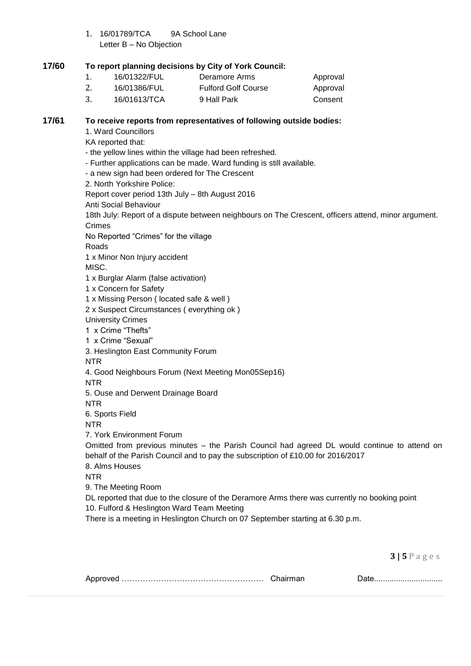1. 16/01789/TCA 9A School Lane Letter B – No Objection

## **17/60 To report planning decisions by City of York Council:**

| 16/01322/FUL | Deramore Arms              | Approval |
|--------------|----------------------------|----------|
| 16/01386/FUL | <b>Fulford Golf Course</b> | Approval |
| 16/01613/TCA | 9 Hall Park                | Consent  |

## **17/61 To receive reports from representatives of following outside bodies:**

- 1. Ward Councillors
- KA reported that:
- the yellow lines within the village had been refreshed.
- Further applications can be made. Ward funding is still available.
- a new sign had been ordered for The Crescent
- 2. North Yorkshire Police:

Report cover period 13th July – 8th August 2016

Anti Social Behaviour

18th July: Report of a dispute between neighbours on The Crescent, officers attend, minor argument. Crimes

No Reported "Crimes" for the village

Roads

1 x Minor Non Injury accident

MISC.

1 x Burglar Alarm (false activation)

1 x Concern for Safety

1 x Missing Person ( located safe & well )

2 x Suspect Circumstances ( everything ok )

University Crimes

1 x Crime "Thefts"

1 x Crime "Sexual"

3. Heslington East Community Forum

NTR

4. Good Neighbours Forum (Next Meeting Mon05Sep16)

NTR

5. Ouse and Derwent Drainage Board

NTR

6. Sports Field

NTR

7. York Environment Forum

Omitted from previous minutes – the Parish Council had agreed DL would continue to attend on behalf of the Parish Council and to pay the subscription of £10.00 for 2016/2017

8. Alms Houses

NTR

9. The Meeting Room

DL reported that due to the closure of the Deramore Arms there was currently no booking point

10. Fulford & Heslington Ward Team Meeting

There is a meeting in Heslington Church on 07 September starting at 6.30 p.m.

**3 | 5** P a g e s

|  | ___________________________________ |
|--|-------------------------------------|
|  |                                     |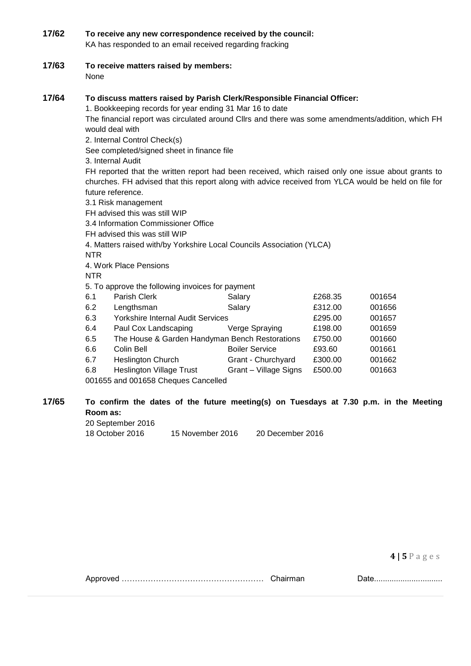#### **17/62 To receive any new correspondence received by the council:** KA has responded to an email received regarding fracking

**17/63 To receive matters raised by members:** None

#### **17/64 To discuss matters raised by Parish Clerk/Responsible Financial Officer:**

1. Bookkeeping records for year ending 31 Mar 16 to date

The financial report was circulated around Cllrs and there was some amendments/addition, which FH would deal with

2. Internal Control Check(s)

See completed/signed sheet in finance file

3. Internal Audit

FH reported that the written report had been received, which raised only one issue about grants to churches. FH advised that this report along with advice received from YLCA would be held on file for future reference.

3.1 Risk management

FH advised this was still WIP

3.4 Information Commissioner Office

FH advised this was still WIP

4. Matters raised with/by Yorkshire Local Councils Association (YLCA)

NTR

4. Work Place Pensions

NTR

5. To approve the following invoices for payment

| 6.1 | Parish Clerk                                   | Salary                | £268.35 | 001654 |
|-----|------------------------------------------------|-----------------------|---------|--------|
| 6.2 | Lengthsman                                     | Salary                | £312.00 | 001656 |
| 6.3 | Yorkshire Internal Audit Services              |                       | £295.00 | 001657 |
| 6.4 | Paul Cox Landscaping                           | Verge Spraying        | £198.00 | 001659 |
| 6.5 | The House & Garden Handyman Bench Restorations |                       | £750.00 | 001660 |
| 6.6 | Colin Bell                                     | <b>Boiler Service</b> | £93.60  | 001661 |
| 6.7 | <b>Heslington Church</b>                       | Grant - Churchyard    | £300.00 | 001662 |
| 6.8 | <b>Heslington Village Trust</b>                | Grant - Village Signs | £500.00 | 001663 |
|     | 001655 and 001658 Cheques Cancelled            |                       |         |        |

# **17/65 To confirm the dates of the future meeting(s) on Tuesdays at 7.30 p.m. in the Meeting Room as:**

20 September 2016

18 October 2016 15 November 2016 20 December 2016

**4 | 5** P a g e s

Approved ……………………………………………… Chairman Date...............................